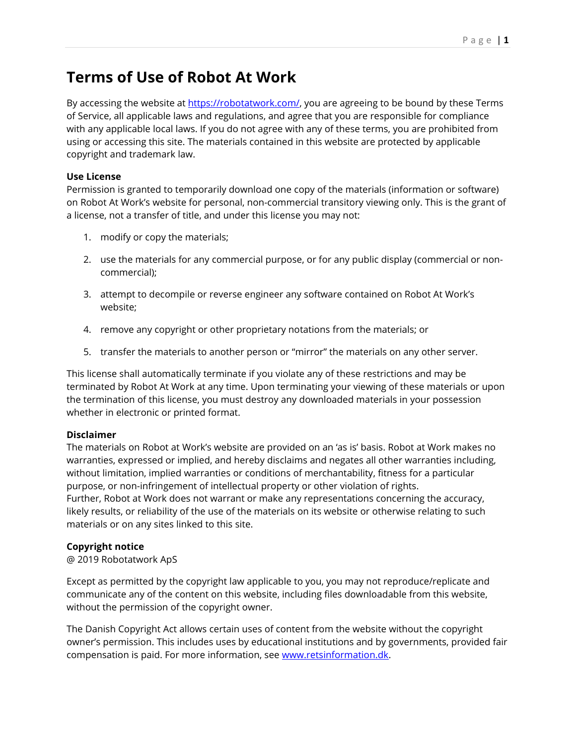# **Terms of Use of Robot At Work**

By accessing the website at [https://robotatwork.com/,](https://robotatwork.com/) you are agreeing to be bound by these Terms of Service, all applicable laws and regulations, and agree that you are responsible for compliance with any applicable local laws. If you do not agree with any of these terms, you are prohibited from using or accessing this site. The materials contained in this website are protected by applicable copyright and trademark law.

## **Use License**

Permission is granted to temporarily download one copy of the materials (information or software) on Robot At Work's website for personal, non-commercial transitory viewing only. This is the grant of a license, not a transfer of title, and under this license you may not:

- 1. modify or copy the materials;
- 2. use the materials for any commercial purpose, or for any public display (commercial or noncommercial);
- 3. attempt to decompile or reverse engineer any software contained on Robot At Work's website;
- 4. remove any copyright or other proprietary notations from the materials; or
- 5. transfer the materials to another person or "mirror" the materials on any other server.

This license shall automatically terminate if you violate any of these restrictions and may be terminated by Robot At Work at any time. Upon terminating your viewing of these materials or upon the termination of this license, you must destroy any downloaded materials in your possession whether in electronic or printed format.

### **Disclaimer**

The materials on Robot at Work's website are provided on an 'as is' basis. Robot at Work makes no warranties, expressed or implied, and hereby disclaims and negates all other warranties including, without limitation, implied warranties or conditions of merchantability, fitness for a particular purpose, or non-infringement of intellectual property or other violation of rights. Further, Robot at Work does not warrant or make any representations concerning the accuracy, likely results, or reliability of the use of the materials on its website or otherwise relating to such materials or on any sites linked to this site.

## **Copyright notice**

@ 2019 Robotatwork ApS

Except as permitted by the copyright law applicable to you, you may not reproduce/replicate and communicate any of the content on this website, including files downloadable from this website, without the permission of the copyright owner.

The Danish Copyright Act allows certain uses of content from the website without the copyright owner's permission. This includes uses by educational institutions and by governments, provided fair compensation is paid. For more information, see [www.retsinformation.dk.](http://www.retsinformation.dk/)